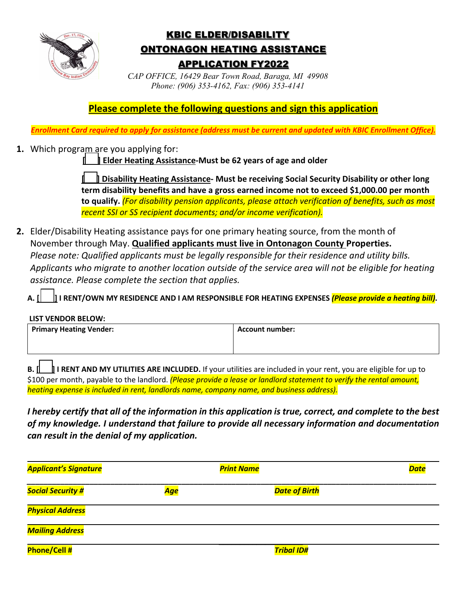

# KBIC ELDER/DISABILITY ONTONAGON HEATING ASSISTANCE APPLICATION FY2022

*CAP OFFICE, 16429 Bear Town Road, Baraga, MI 49908 Phone: (906) 353-4162, Fax: (906) 353-4141* 

**Please complete the following questions and sign this application**

*Enrollment Card required to apply for assistance (address must be current and updated with KBIC Enrollment Office).*

**1.** Which program are you applying for:

**[ ] Elder Heating Assistance-Must be 62 years of age and older**

**[ ] Disability Heating Assistance- Must be receiving Social Security Disability or other long term disability benefits and have a gross earned income not to exceed \$1,000.00 per month to qualify.** *(For disability pension applicants, please attach verification of benefits, such as most recent SSI or SS recipient documents; and/or income verification).*

**2.** Elder/Disability Heating assistance pays for one primary heating source, from the month of November through May. **Qualified applicants must live in Ontonagon County Properties.**  *Please note: Qualified applicants must be legally responsible for their residence and utility bills. Applicants who migrate to another location outside of the service area will not be eligible for heating assistance. Please complete the section that applies.* 

**A. [ ] I RENT/OWN MY RESIDENCE AND I AM RESPONSIBLE FOR HEATING EXPENSES** *(Please provide a heating bill)***.** 

#### **LIST VENDOR BELOW:**

| <b>Primary Heating Vender:</b> | Account number: |
|--------------------------------|-----------------|
|                                |                 |

**B. [ ] I RENT AND MY UTILITIES ARE INCLUDED.** If your utilities are included in your rent, you are eligible for up to \$100 per month, payable to the landlord. *(Please provide a lease or landlord statement to verify the rental amount, heating expense is included in rent, landlords name, company name, and business address).* 

*I hereby certify that all of the information in this application is true, correct, and complete to the best of my knowledge. I understand that failure to provide all necessary information and documentation can result in the denial of my application.* 

| <b>Applicant's Signature</b> |     | <b>Print Name</b>    | <b>Date</b> |
|------------------------------|-----|----------------------|-------------|
| <b>Social Security #</b>     | Age | <b>Date of Birth</b> |             |
| <b>Physical Address</b>      |     |                      |             |
| <b>Mailing Address</b>       |     |                      |             |
| <b>Phone/Cell#</b>           |     | <b>Tribal ID#</b>    |             |